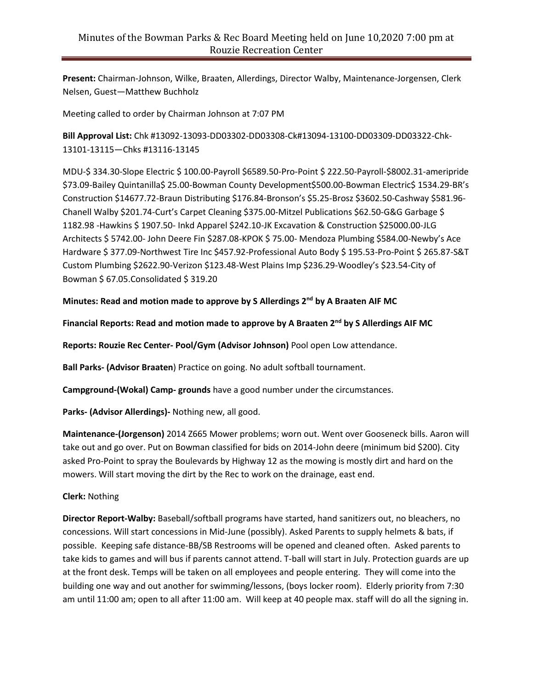**Present:** Chairman-Johnson, Wilke, Braaten, Allerdings, Director Walby, Maintenance-Jorgensen, Clerk Nelsen, Guest—Matthew Buchholz

Meeting called to order by Chairman Johnson at 7:07 PM

**Bill Approval List:** Chk #13092-13093-DD03302-DD03308-Ck#13094-13100-DD03309-DD03322-Chk-13101-13115—Chks #13116-13145

MDU-\$ 334.30-Slope Electric \$ 100.00-Payroll \$6589.50-Pro-Point \$ 222.50-Payroll-\$8002.31-ameripride \$73.09-Bailey Quintanilla\$ 25.00-Bowman County Development\$500.00-Bowman Electric\$ 1534.29-BR's Construction \$14677.72-Braun Distributing \$176.84-Bronson's \$5.25-Brosz \$3602.50-Cashway \$581.96- Chanell Walby \$201.74-Curt's Carpet Cleaning \$375.00-Mitzel Publications \$62.50-G&G Garbage \$ 1182.98 -Hawkins \$ 1907.50- Inkd Apparel \$242.10-JK Excavation & Construction \$25000.00-JLG Architects \$ 5742.00- John Deere Fin \$287.08-KPOK \$ 75.00- Mendoza Plumbing \$584.00-Newby's Ace Hardware \$ 377.09-Northwest Tire Inc \$457.92-Professional Auto Body \$ 195.53-Pro-Point \$ 265.87-S&T Custom Plumbing \$2622.90-Verizon \$123.48-West Plains Imp \$236.29-Woodley's \$23.54-City of Bowman \$ 67.05.Consolidated \$ 319.20

## **Minutes: Read and motion made to approve by S Allerdings 2 nd by A Braaten AIF MC**

**Financial Reports: Read and motion made to approve by A Braaten 2nd by S Allerdings AIF MC**

**Reports: Rouzie Rec Center- Pool/Gym (Advisor Johnson)** Pool open Low attendance.

**Ball Parks- (Advisor Braaten**) Practice on going. No adult softball tournament.

**Campground-(Wokal) Camp- grounds** have a good number under the circumstances.

**Parks- (Advisor Allerdings)-** Nothing new, all good.

**Maintenance-(Jorgenson)** 2014 Z665 Mower problems; worn out. Went over Gooseneck bills. Aaron will take out and go over. Put on Bowman classified for bids on 2014-John deere (minimum bid \$200). City asked Pro-Point to spray the Boulevards by Highway 12 as the mowing is mostly dirt and hard on the mowers. Will start moving the dirt by the Rec to work on the drainage, east end.

## **Clerk:** Nothing

**Director Report-Walby:** Baseball/softball programs have started, hand sanitizers out, no bleachers, no concessions. Will start concessions in Mid-June (possibly). Asked Parents to supply helmets & bats, if possible. Keeping safe distance-BB/SB Restrooms will be opened and cleaned often. Asked parents to take kids to games and will bus if parents cannot attend. T-ball will start in July. Protection guards are up at the front desk. Temps will be taken on all employees and people entering. They will come into the building one way and out another for swimming/lessons, (boys locker room). Elderly priority from 7:30 am until 11:00 am; open to all after 11:00 am. Will keep at 40 people max. staff will do all the signing in.